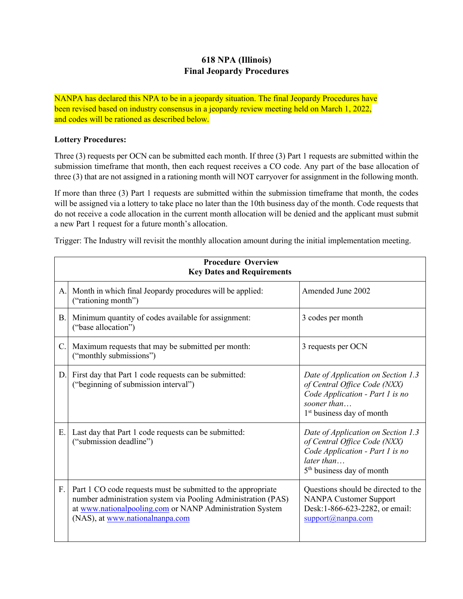## **618 NPA (Illinois) Final Jeopardy Procedures**

NANPA has declared this NPA to be in a jeopardy situation. The final Jeopardy Procedures have been revised based on industry consensus in a jeopardy review meeting held on March 1, 2022, and codes will be rationed as described below.

## **Lottery Procedures:**

Three (3) requests per OCN can be submitted each month. If three (3) Part 1 requests are submitted within the submission timeframe that month, then each request receives a CO code. Any part of the base allocation of three (3) that are not assigned in a rationing month will NOT carryover for assignment in the following month.

If more than three (3) Part 1 requests are submitted within the submission timeframe that month, the codes will be assigned via a lottery to take place no later than the 10th business day of the month. Code requests that do not receive a code allocation in the current month allocation will be denied and the applicant must submit a new Part 1 request for a future month's allocation.

Trigger: The Industry will revisit the monthly allocation amount during the initial implementation meeting.

| <b>Procedure Overview</b><br><b>Key Dates and Requirements</b> |                                                                                                                                                                                                                              |                                                                                                                                                               |
|----------------------------------------------------------------|------------------------------------------------------------------------------------------------------------------------------------------------------------------------------------------------------------------------------|---------------------------------------------------------------------------------------------------------------------------------------------------------------|
| A.                                                             | Month in which final Jeopardy procedures will be applied:<br>("rationing month")                                                                                                                                             | Amended June 2002                                                                                                                                             |
| <b>B.</b>                                                      | Minimum quantity of codes available for assignment:<br>("base allocation")                                                                                                                                                   | 3 codes per month                                                                                                                                             |
| $\mathcal{C}$ .                                                | Maximum requests that may be submitted per month:<br>("monthly submissions")                                                                                                                                                 | 3 requests per OCN                                                                                                                                            |
| D.                                                             | First day that Part 1 code requests can be submitted:<br>("beginning of submission interval")                                                                                                                                | Date of Application on Section 1.3<br>of Central Office Code (NXX)<br>Code Application - Part 1 is no<br>sooner than<br>1 <sup>st</sup> business day of month |
| Ε.                                                             | Last day that Part 1 code requests can be submitted:<br>("submission deadline")                                                                                                                                              | Date of Application on Section 1.3<br>of Central Office Code (NXX)<br>Code Application - Part 1 is no<br>later than<br>5 <sup>th</sup> business day of month  |
| F.                                                             | Part 1 CO code requests must be submitted to the appropriate<br>number administration system via Pooling Administration (PAS)<br>at www.nationalpooling.com or NANP Administration System<br>(NAS), at www.nationalnanpa.com | Questions should be directed to the<br><b>NANPA Customer Support</b><br>Desk:1-866-623-2282, or email:<br>$support(a)$ nanpa.com                              |